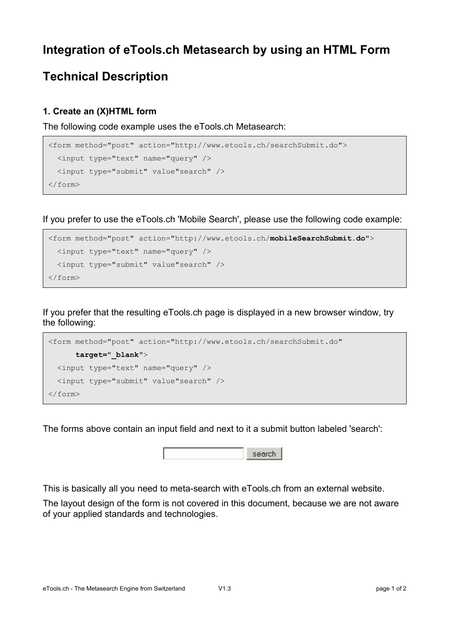# **Integration of eTools.ch Metasearch by using an HTML Form**

## **Technical Description**

#### **1. Create an (X)HTML form**

The following code example uses the eTools.ch Metasearch:

```
<form method="post" action="http://www.etools.ch/searchSubmit.do">
  <input type="text" name="query" />
  <input type="submit" value"search" />
</form>
```
If you prefer to use the eTools.ch 'Mobile Search', please use the following code example:

```
<form method="post" action="http://www.etools.ch/mobileSearchSubmit.do">
  <input type="text" name="query" />
  <input type="submit" value"search" />
</form>
```
If you prefer that the resulting eTools.ch page is displayed in a new browser window, try the following:

```
<form method="post" action="http://www.etools.ch/searchSubmit.do"
       target="_blank">
  <input type="text" name="query" />
  <input type="submit" value"search" />
</form>
```
The forms above contain an input field and next to it a submit button labeled 'search':



This is basically all you need to meta-search with eTools.ch from an external website.

The layout design of the form is not covered in this document, because we are not aware of your applied standards and technologies.